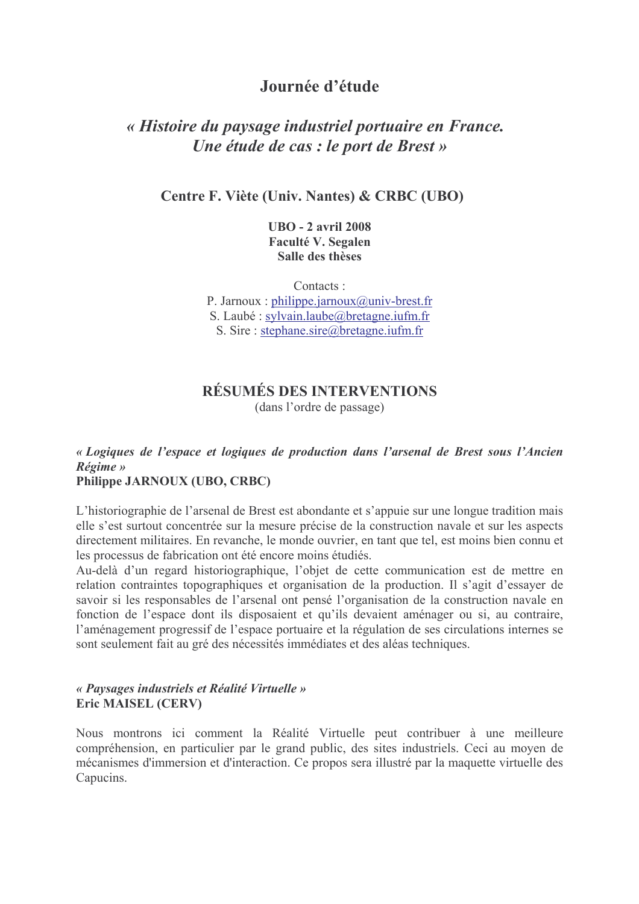# Journée d'étude

# « Histoire du paysage industriel portuaire en France. Une étude de cas : le port de Brest »

### Centre F. Viète (Univ. Nantes) & CRBC (UBO)

**UBO** - 2 avril 2008 **Faculté V. Segalen** Salle des thèses

Contacts: P. Jarnoux: philippe.jarnoux@univ-brest.fr S. Laubé: sylvain.laube@bretagne.iufm.fr S. Sire: stephane.sire@bretagne.iufm.fr

# RÉSILMÉS DES INTERVENTIONS

(dans l'ordre de passage)

# « Logiques de l'espace et logiques de production dans l'arsenal de Brest sous l'Ancien  $Régime$

## Philippe JARNOUX (UBO, CRBC)

L'historiographie de l'arsenal de Brest est abondante et s'appuie sur une longue tradition mais elle s'est surtout concentrée sur la mesure précise de la construction navale et sur les aspects directement militaires. En revanche, le monde ouvrier, en tant que tel, est moins bien connu et les processus de fabrication ont été encore moins étudiés.

Au-delà d'un regard historiographique. l'objet de cette communication est de mettre en relation contraintes topographiques et organisation de la production. Il s'agit d'essayer de savoir si les responsables de l'arsenal ont pensé l'organisation de la construction navale en fonction de l'espace dont ils disposaient et qu'ils devaient aménager ou si, au contraire, l'aménagement progressif de l'espace portuaire et la régulation de ses circulations internes se sont seulement fait au gré des nécessités immédiates et des aléas techniques.

#### « Paysages industriels et Réalité Virtuelle » **Eric MAISEL (CERV)**

Nous montrons ici comment la Réalité Virtuelle peut contribuer à une meilleure compréhension, en particulier par le grand public, des sites industriels. Ceci au moyen de mécanismes d'immersion et d'interaction. Ce propos sera illustré par la maquette virtuelle des Capucins.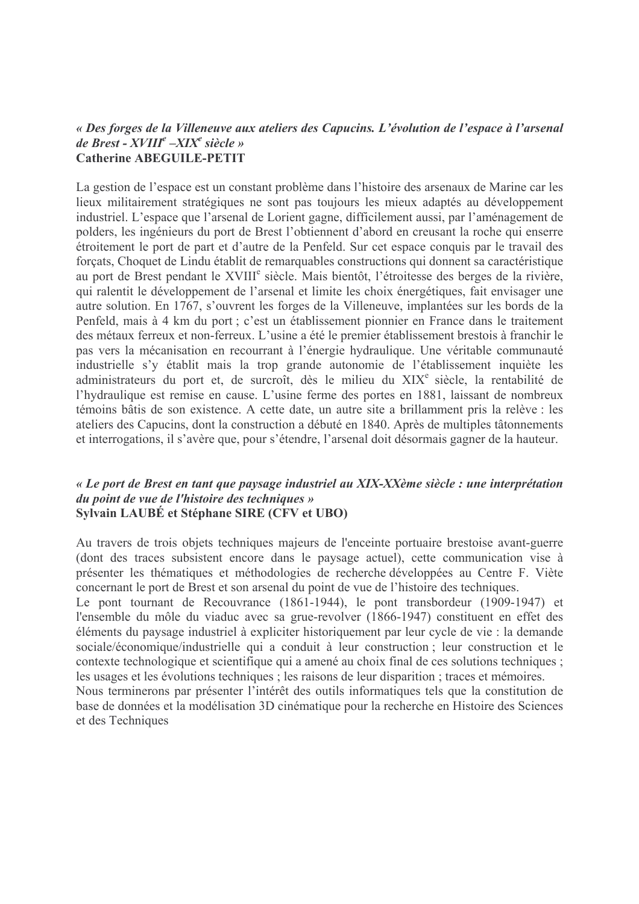#### « Des forges de la Villeneuve aux ateliers des Capucins. L'évolution de l'espace à l'arsenal de Brest -  $XVIII^e$  - $XIX^e$  siècle » **Catherine ABEGUILE-PETIT**

La gestion de l'espace est un constant problème dans l'histoire des arsenaux de Marine car les lieux militairement stratégiques ne sont pas toujours les mieux adaptés au développement industriel. L'espace que l'arsenal de Lorient gagne, difficilement aussi, par l'aménagement de polders, les ingénieurs du port de Brest l'obtiennent d'abord en creusant la roche qui enserre étroitement le port de part et d'autre de la Penfeld. Sur cet espace conquis par le travail des forçats, Choquet de Lindu établit de remarquables constructions qui donnent sa caractéristique au port de Brest pendant le XVIII<sup>e</sup> siècle. Mais bientôt, l'étroitesse des berges de la rivière, qui ralentit le développement de l'arsenal et limite les choix énergétiques, fait envisager une autre solution. En 1767, s'ouvrent les forges de la Villeneuve, implantées sur les bords de la Penfeld, mais à 4 km du port ; c'est un établissement pionnier en France dans le traitement des métaux ferreux et non-ferreux. L'usine a été le premier établissement brestois à franchir le pas vers la mécanisation en recourrant à l'énergie hydraulique. Une véritable communauté industrielle s'y établit mais la trop grande autonomie de l'établissement inquiète les administrateurs du port et, de surcroît, dès le milieu du XIX<sup>e</sup> siècle, la rentabilité de l'hydraulique est remise en cause. L'usine ferme des portes en 1881, laissant de nombreux témoins bâtis de son existence. A cette date, un autre site a brillamment pris la relève : les ateliers des Capucins, dont la construction a débuté en 1840. Après de multiples tâtonnements et interrogations, il s'avère que, pour s'étendre, l'arsenal doit désormais gagner de la hauteur.

#### « Le port de Brest en tant que paysage industriel au XIX-XXème siècle : une interprétation du point de vue de l'histoire des techniques » Sylvain LAUBÉ et Stéphane SIRE (CFV et UBO)

Au travers de trois objets techniques majeurs de l'enceinte portuaire brestoise avant-guerre (dont des traces subsistent encore dans le paysage actuel), cette communication vise à présenter les thématiques et méthodologies de recherche développées au Centre F. Viète concernant le port de Brest et son arsenal du point de vue de l'histoire des techniques.

Le pont tournant de Recouvrance (1861-1944), le pont transbordeur (1909-1947) et l'ensemble du môle du viaduc avec sa grue-revolver (1866-1947) constituent en effet des éléments du paysage industriel à expliciter historiquement par leur cycle de vie : la demande sociale/économique/industrielle qui a conduit à leur construction; leur construction et le contexte technologique et scientifique qui a amené au choix final de ces solutions techniques; les usages et les évolutions techniques : les raisons de leur disparition : traces et mémoires.

Nous terminerons par présenter l'intérêt des outils informatiques tels que la constitution de base de données et la modélisation 3D cinématique pour la recherche en Histoire des Sciences et des Techniques